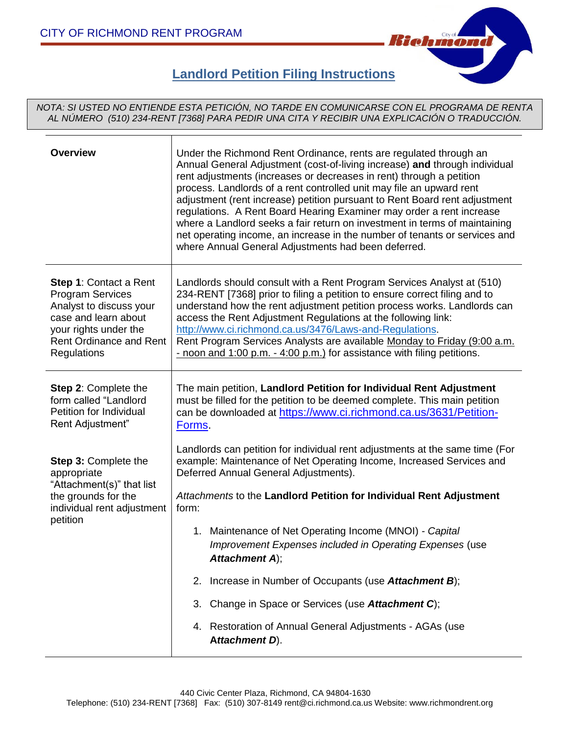

## **Landlord Petition Filing Instructions**

*NOTA: SI USTED NO ENTIENDE ESTA PETICIÓN, NO TARDE EN COMUNICARSE CON EL PROGRAMA DE RENTA AL NÚMERO (510) 234-RENT [7368] PARA PEDIR UNA CITA Y RECIBIR UNA EXPLICACIÓN O TRADUCCIÓN.*

| <b>Overview</b>                                                                                                                                                                       | Under the Richmond Rent Ordinance, rents are regulated through an<br>Annual General Adjustment (cost-of-living increase) and through individual<br>rent adjustments (increases or decreases in rent) through a petition<br>process. Landlords of a rent controlled unit may file an upward rent<br>adjustment (rent increase) petition pursuant to Rent Board rent adjustment<br>regulations. A Rent Board Hearing Examiner may order a rent increase<br>where a Landlord seeks a fair return on investment in terms of maintaining<br>net operating income, an increase in the number of tenants or services and<br>where Annual General Adjustments had been deferred. |
|---------------------------------------------------------------------------------------------------------------------------------------------------------------------------------------|--------------------------------------------------------------------------------------------------------------------------------------------------------------------------------------------------------------------------------------------------------------------------------------------------------------------------------------------------------------------------------------------------------------------------------------------------------------------------------------------------------------------------------------------------------------------------------------------------------------------------------------------------------------------------|
| <b>Step 1: Contact a Rent</b><br><b>Program Services</b><br>Analyst to discuss your<br>case and learn about<br>your rights under the<br><b>Rent Ordinance and Rent</b><br>Regulations | Landlords should consult with a Rent Program Services Analyst at (510)<br>234-RENT [7368] prior to filing a petition to ensure correct filing and to<br>understand how the rent adjustment petition process works. Landlords can<br>access the Rent Adjustment Regulations at the following link:<br>http://www.ci.richmond.ca.us/3476/Laws-and-Regulations.<br>Rent Program Services Analysts are available Monday to Friday (9:00 a.m.<br>- noon and 1:00 p.m. - 4:00 p.m.) for assistance with filing petitions.                                                                                                                                                      |
| Step 2: Complete the<br>form called "Landlord<br>Petition for Individual<br>Rent Adjustment"                                                                                          | The main petition, Landlord Petition for Individual Rent Adjustment<br>must be filled for the petition to be deemed complete. This main petition<br>can be downloaded at https://www.ci.richmond.ca.us/3631/Petition-<br>Forms.                                                                                                                                                                                                                                                                                                                                                                                                                                          |
| Step 3: Complete the<br>appropriate<br>"Attachment(s)" that list<br>the grounds for the<br>individual rent adjustment<br>petition                                                     | Landlords can petition for individual rent adjustments at the same time (For<br>example: Maintenance of Net Operating Income, Increased Services and<br>Deferred Annual General Adjustments).<br>Attachments to the Landlord Petition for Individual Rent Adjustment                                                                                                                                                                                                                                                                                                                                                                                                     |
|                                                                                                                                                                                       | form:<br>1. Maintenance of Net Operating Income (MNOI) - Capital<br>Improvement Expenses included in Operating Expenses (use<br>Attachment A);                                                                                                                                                                                                                                                                                                                                                                                                                                                                                                                           |
|                                                                                                                                                                                       | 2. Increase in Number of Occupants (use <b>Attachment B</b> );                                                                                                                                                                                                                                                                                                                                                                                                                                                                                                                                                                                                           |
|                                                                                                                                                                                       | 3. Change in Space or Services (use Attachment C);                                                                                                                                                                                                                                                                                                                                                                                                                                                                                                                                                                                                                       |
|                                                                                                                                                                                       | 4. Restoration of Annual General Adjustments - AGAs (use<br>Attachment D).                                                                                                                                                                                                                                                                                                                                                                                                                                                                                                                                                                                               |